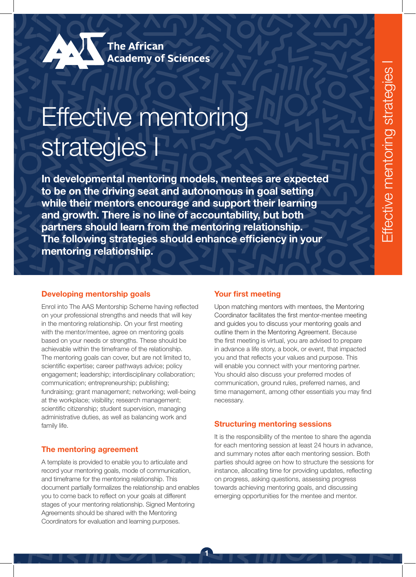# Effective mentoring strategies I

In developmental mentoring models, mentees are expected to be on the driving seat and autonomous in goal setting while their mentors encourage and support their learning and growth. There is no line of accountability, but both partners should learn from the mentoring relationship. The following strategies should enhance efficiency in your mentoring relationship.

1

#### Developing mentorship goals

Enrol into The AAS Mentorship Scheme having reflected on your professional strengths and needs that will key in the mentoring relationship. On your first meeting with the mentor/mentee, agree on mentoring goals based on your needs or strengths. These should be achievable within the timeframe of the relationship. The mentoring goals can cover, but are not limited to, scientific expertise; career pathways advice; policy engagement; leadership; interdisciplinary collaboration; communication; entrepreneurship; publishing; fundraising; grant management; networking; well-being at the workplace; visibility; research management; scientific citizenship; student supervision, managing administrative duties, as well as balancing work and family life.

### The mentoring agreement

A template is provided to enable you to articulate and record your mentoring goals, mode of communication, and timeframe for the mentoring relationship. This document partially formalizes the relationship and enables you to come back to reflect on your goals at different stages of your mentoring relationship. Signed Mentoring Agreements should be shared with the Mentoring Coordinators for evaluation and learning purposes.

### Your first meeting

Upon matching mentors with mentees, the Mentoring Coordinator facilitates the first mentor-mentee meeting and guides you to discuss your mentoring goals and outline them in the Mentoring Agreement. Because the first meeting is virtual, you are advised to prepare in advance a life story, a book, or event, that impacted you and that reflects your values and purpose. This will enable you connect with your mentoring partner. You should also discuss your preferred modes of communication, ground rules, preferred names, and time management, among other essentials you may find necessary.

#### Structuring mentoring sessions

It is the responsibility of the mentee to share the agenda for each mentoring session at least 24 hours in advance, and summary notes after each mentoring session. Both parties should agree on how to structure the sessions for instance, allocating time for providing updates, reflecting on progress, asking questions, assessing progress towards achieving mentoring goals, and discussing emerging opportunities for the mentee and mentor.